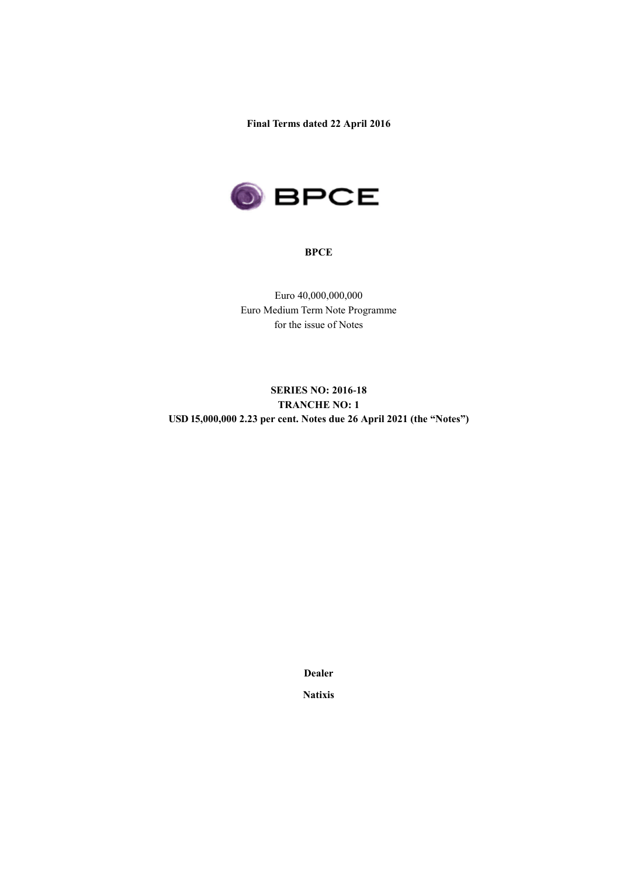**Final Terms dated 22 April 2016**



#### **BPCE**

Euro 40,000,000,000 Euro Medium Term Note Programme for the issue of Notes

# **SERIES NO: 2016-18 TRANCHE NO: 1 USD 15,000,000 2.23 per cent. Notes due 26 April 2021 (the "Notes")**

**Dealer**

**Natixis**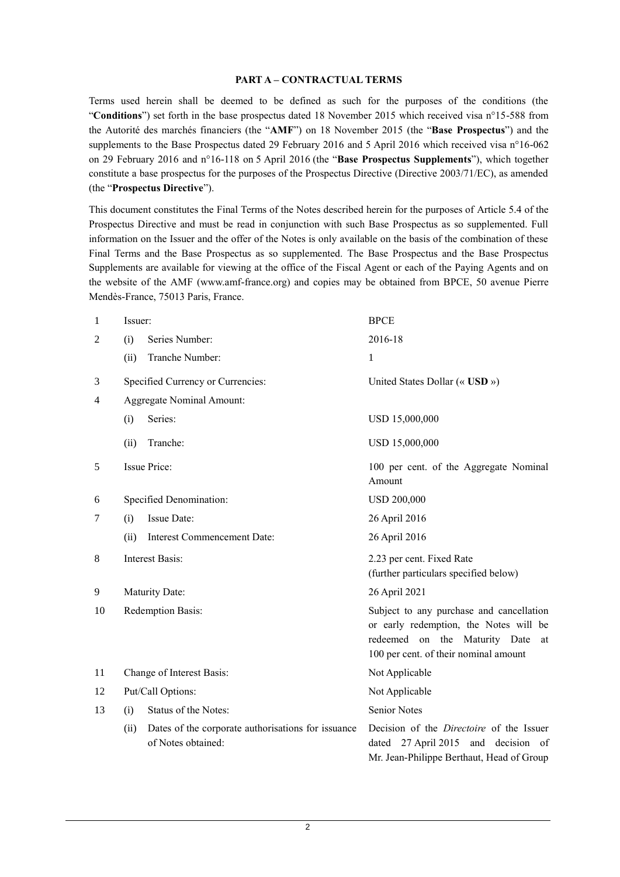#### **PART A – CONTRACTUAL TERMS**

Terms used herein shall be deemed to be defined as such for the purposes of the conditions (the "**Conditions**") set forth in the base prospectus dated 18 November 2015 which received visa n°15-588 from the Autorité des marchés financiers (the "**AMF**") on 18 November 2015 (the "**Base Prospectus**") and the supplements to the Base Prospectus dated 29 February 2016 and 5 April 2016 which received visa n°16-062 on 29 February 2016 and n°16-118 on 5 April 2016 (the "**Base Prospectus Supplements**"), which together constitute a base prospectus for the purposes of the Prospectus Directive (Directive 2003/71/EC), as amended (the "**Prospectus Directive**").

This document constitutes the Final Terms of the Notes described herein for the purposes of Article 5.4 of the Prospectus Directive and must be read in conjunction with such Base Prospectus as so supplemented. Full information on the Issuer and the offer of the Notes is only available on the basis of the combination of these Final Terms and the Base Prospectus as so supplemented. The Base Prospectus and the Base Prospectus Supplements are available for viewing at the office of the Fiscal Agent or each of the Paying Agents and on the website of the AMF (www.amf-france.org) and copies may be obtained from BPCE, 50 avenue Pierre Mendès-France, 75013 Paris, France.

| 1              | Issuer:        |                                                                          | <b>BPCE</b>                                                                                                                                                        |
|----------------|----------------|--------------------------------------------------------------------------|--------------------------------------------------------------------------------------------------------------------------------------------------------------------|
| $\overline{2}$ | (i)            | Series Number:                                                           | 2016-18                                                                                                                                                            |
|                | (ii)           | Tranche Number:                                                          | 1                                                                                                                                                                  |
| 3              |                | Specified Currency or Currencies:                                        | United States Dollar (« $\text{USD}~\nu$ )                                                                                                                         |
| 4              |                | <b>Aggregate Nominal Amount:</b>                                         |                                                                                                                                                                    |
|                | Series:<br>(i) |                                                                          | USD 15,000,000                                                                                                                                                     |
|                | (ii)           | Tranche:                                                                 | USD 15,000,000                                                                                                                                                     |
| 5              |                | Issue Price:                                                             | 100 per cent. of the Aggregate Nominal<br>Amount                                                                                                                   |
| 6              |                | Specified Denomination:                                                  | <b>USD 200,000</b>                                                                                                                                                 |
| 7              | (i)            | Issue Date:                                                              | 26 April 2016                                                                                                                                                      |
|                | (ii)           | Interest Commencement Date:                                              | 26 April 2016                                                                                                                                                      |
| 8              |                | <b>Interest Basis:</b>                                                   | 2.23 per cent. Fixed Rate<br>(further particulars specified below)                                                                                                 |
| 9              |                | <b>Maturity Date:</b>                                                    | 26 April 2021                                                                                                                                                      |
| 10             |                | Redemption Basis:                                                        | Subject to any purchase and cancellation<br>or early redemption, the Notes will be<br>redeemed on the Maturity Date<br>at<br>100 per cent. of their nominal amount |
| 11             |                | Change of Interest Basis:                                                | Not Applicable                                                                                                                                                     |
| 12             |                | Put/Call Options:                                                        | Not Applicable                                                                                                                                                     |
| 13             | (i)            | Status of the Notes:                                                     | <b>Senior Notes</b>                                                                                                                                                |
|                | (ii)           | Dates of the corporate authorisations for issuance<br>of Notes obtained: | Decision of the <i>Directoire</i> of the Issuer<br>dated 27 April 2015 and decision of<br>Mr. Jean-Philippe Berthaut, Head of Group                                |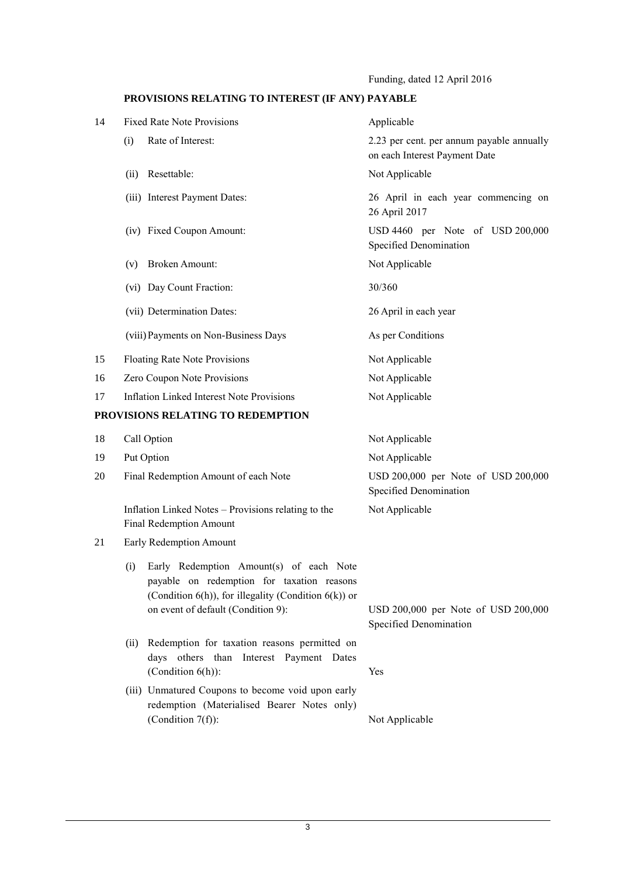Funding, dated 12 April 2016

# **PROVISIONS RELATING TO INTEREST (IF ANY) PAYABLE**

| 14 | <b>Fixed Rate Note Provisions</b>                                                                                                                                                                | Applicable                                                                 |
|----|--------------------------------------------------------------------------------------------------------------------------------------------------------------------------------------------------|----------------------------------------------------------------------------|
|    | Rate of Interest:<br>(i)                                                                                                                                                                         | 2.23 per cent. per annum payable annually<br>on each Interest Payment Date |
|    | (ii) Resettable:                                                                                                                                                                                 | Not Applicable                                                             |
|    | (iii) Interest Payment Dates:                                                                                                                                                                    | 26 April in each year commencing on<br>26 April 2017                       |
|    | (iv) Fixed Coupon Amount:                                                                                                                                                                        | USD 4460 per Note of USD 200,000<br>Specified Denomination                 |
|    | <b>Broken Amount:</b><br>(v)                                                                                                                                                                     | Not Applicable                                                             |
|    | (vi) Day Count Fraction:                                                                                                                                                                         | 30/360                                                                     |
|    | (vii) Determination Dates:                                                                                                                                                                       | 26 April in each year                                                      |
|    | (viii) Payments on Non-Business Days                                                                                                                                                             | As per Conditions                                                          |
| 15 | Floating Rate Note Provisions                                                                                                                                                                    | Not Applicable                                                             |
| 16 | Zero Coupon Note Provisions                                                                                                                                                                      | Not Applicable                                                             |
| 17 | <b>Inflation Linked Interest Note Provisions</b>                                                                                                                                                 | Not Applicable                                                             |
|    | PROVISIONS RELATING TO REDEMPTION                                                                                                                                                                |                                                                            |
| 18 | Call Option                                                                                                                                                                                      | Not Applicable                                                             |
| 19 | Put Option                                                                                                                                                                                       | Not Applicable                                                             |
| 20 | Final Redemption Amount of each Note                                                                                                                                                             | USD 200,000 per Note of USD 200,000<br>Specified Denomination              |
|    | Inflation Linked Notes – Provisions relating to the<br>Final Redemption Amount                                                                                                                   | Not Applicable                                                             |
| 21 | Early Redemption Amount                                                                                                                                                                          |                                                                            |
|    | Early Redemption Amount(s) of each Note<br>(i)<br>payable on redemption for taxation reasons<br>(Condition $6(h)$ ), for illegality (Condition $6(k)$ ) or<br>on event of default (Condition 9): | USD 200,000 per Note of USD 200,000<br>Specified Denomination              |
|    | Redemption for taxation reasons permitted on<br>(ii)<br>days others than Interest Payment Dates<br>(Condition $6(h)$ ):                                                                          | Yes                                                                        |
|    | (iii) Unmatured Coupons to become void upon early<br>redemption (Materialised Bearer Notes only)<br>(Condition $7(f)$ ):                                                                         | Not Applicable                                                             |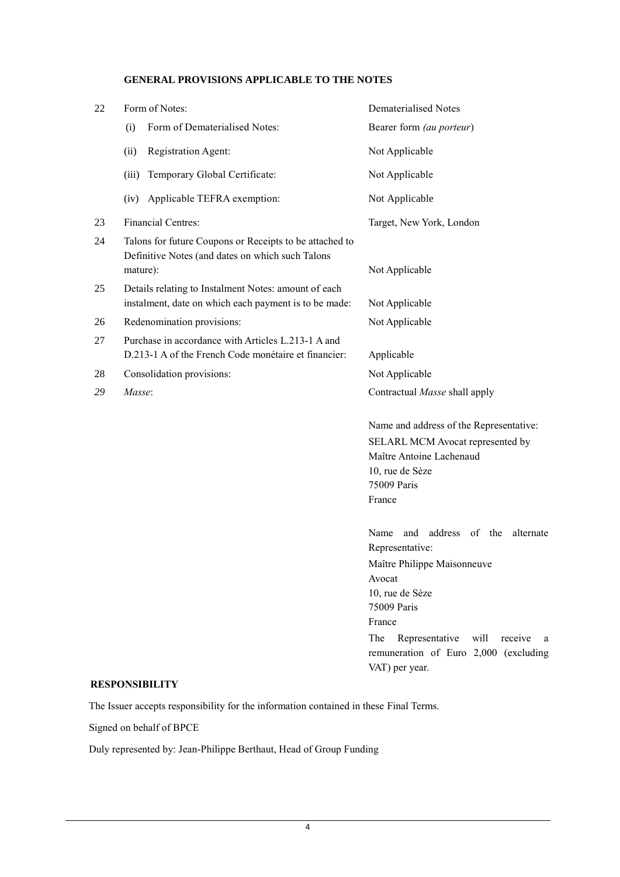# **GENERAL PROVISIONS APPLICABLE TO THE NOTES**

| 22 | Form of Notes:                                                                                                          | <b>Dematerialised Notes</b>                                                                                                                                                                                                                                      |
|----|-------------------------------------------------------------------------------------------------------------------------|------------------------------------------------------------------------------------------------------------------------------------------------------------------------------------------------------------------------------------------------------------------|
|    | Form of Dematerialised Notes:<br>(i)                                                                                    | Bearer form (au porteur)                                                                                                                                                                                                                                         |
|    | Registration Agent:<br>(ii)                                                                                             | Not Applicable                                                                                                                                                                                                                                                   |
|    | (iii)<br>Temporary Global Certificate:                                                                                  | Not Applicable                                                                                                                                                                                                                                                   |
|    | (iv) Applicable TEFRA exemption:                                                                                        | Not Applicable                                                                                                                                                                                                                                                   |
| 23 | Financial Centres:                                                                                                      | Target, New York, London                                                                                                                                                                                                                                         |
| 24 | Talons for future Coupons or Receipts to be attached to<br>Definitive Notes (and dates on which such Talons<br>mature): | Not Applicable                                                                                                                                                                                                                                                   |
| 25 | Details relating to Instalment Notes: amount of each<br>instalment, date on which each payment is to be made:           | Not Applicable                                                                                                                                                                                                                                                   |
| 26 | Redenomination provisions:                                                                                              | Not Applicable                                                                                                                                                                                                                                                   |
| 27 | Purchase in accordance with Articles L.213-1 A and<br>D.213-1 A of the French Code monétaire et financier:              | Applicable                                                                                                                                                                                                                                                       |
| 28 | Consolidation provisions:                                                                                               | Not Applicable                                                                                                                                                                                                                                                   |
| 29 | Masse:                                                                                                                  | Contractual Masse shall apply                                                                                                                                                                                                                                    |
|    |                                                                                                                         | Name and address of the Representative:<br>SELARL MCM Avocat represented by<br>Maître Antoine Lachenaud<br>10, rue de Sèze<br>75009 Paris<br>France                                                                                                              |
|    |                                                                                                                         | address of the<br>Name<br>and<br>alternate<br>Representative:<br>Maître Philippe Maisonneuve<br>Avocat<br>10, rue de Sèze<br>75009 Paris<br>France<br>Representative<br>will<br>The<br>receive<br>a a<br>remuneration of Euro 2,000 (excluding<br>VAT) per year. |
|    | <b>RESPONSIBILITY</b>                                                                                                   |                                                                                                                                                                                                                                                                  |

The Issuer accepts responsibility for the information contained in these Final Terms.

Signed on behalf of BPCE

Duly represented by: Jean-Philippe Berthaut, Head of Group Funding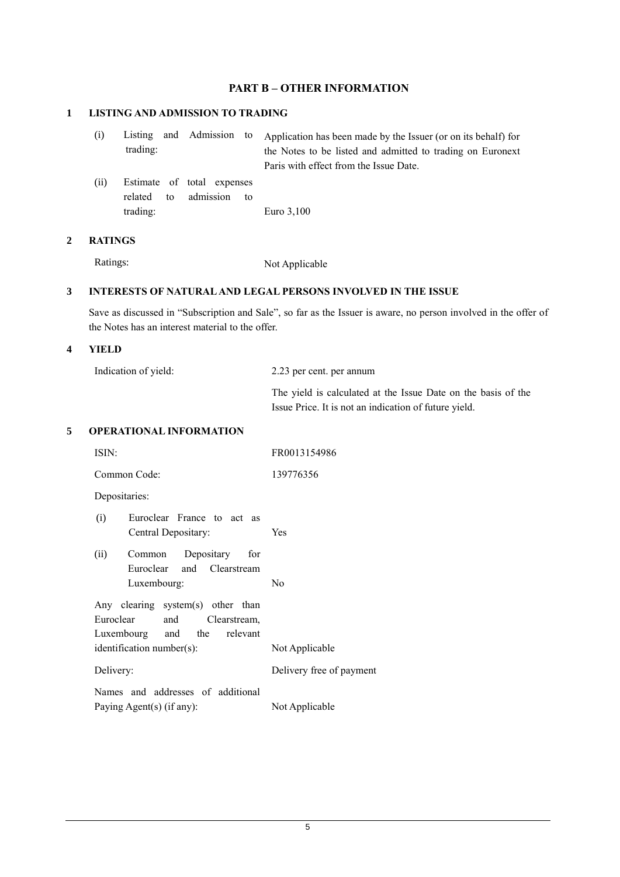# **PART B – OTHER INFORMATION**

# **1 LISTING AND ADMISSION TO TRADING**

| (i) |          |  | Listing and Admission to Application has been made by the Issuer (or on its behalf) for |
|-----|----------|--|-----------------------------------------------------------------------------------------|
|     | trading: |  | the Notes to be listed and admitted to trading on Euronext                              |
|     |          |  | Paris with effect from the Issue Date.                                                  |

(ii) Estimate of total expenses related to admission to trading: Euro 3,100

#### **2 RATINGS**

Ratings: Not Applicable

## **3 INTERESTS OF NATURAL AND LEGAL PERSONS INVOLVED IN THE ISSUE**

Save as discussed in "Subscription and Sale", so far as the Issuer is aware, no person involved in the offer of the Notes has an interest material to the offer.

#### **4 YIELD**

| Indication of yield: | 2.23 per cent. per annum                                      |
|----------------------|---------------------------------------------------------------|
|                      | The yield is calculated at the Issue Date on the basis of the |
|                      | Issue Price. It is not an indication of future yield.         |

## **5 OPERATIONAL INFORMATION**

| ISIN:                                                                                                                             | FR0013154986             |
|-----------------------------------------------------------------------------------------------------------------------------------|--------------------------|
| Common Code:                                                                                                                      | 139776356                |
| Depositaries:                                                                                                                     |                          |
| Euroclear France to act as<br>(i)<br>Central Depositary:                                                                          | Yes                      |
| Depositary for<br>(ii)<br>Common<br>Euroclear and Clearstream<br>Luxembourg:                                                      | N <sub>0</sub>           |
| Any clearing system(s) other than<br>Euroclear<br>and<br>Clearstream,<br>Luxembourg and the relevant<br>identification number(s): | Not Applicable           |
| Delivery:                                                                                                                         | Delivery free of payment |
| Names and addresses of additional<br>Paying Agent(s) (if any):                                                                    | Not Applicable           |